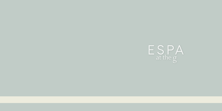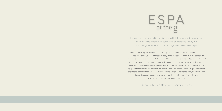# $ESPA$ <sub>at the g</sub>

ESPA at the g is located in the five star g Hotel, designed by renowned milliner, Philip Treacy and combining comfort and luxury in a totally original fashion, to offer a magnificent Galway escape.

Located on the upper two floors and proudly created by ESPA, our multi award-winning spa has everything you need to restore body, mind and spirit. Indulge in every sense with our world class spa experience, with 12 beautiful treatment rooms, a thermal suite complete with vitality hydro pool, crystal steam room, rock sauna, lifestyle showers and heated loungers. Relax and unwind in our glass pavilion overlooking the Zen garden, or work out in the fully equipped fitness studio. Restore and nourish in a complete sense with this inspired collection of personalised treatments. Results-focussed facials, high performance body treatments and immersive massages await, to nurture your body, calm your mind and leave skin looking radiantly and naturally beautiful

Open daily 8am-8pm by appointment only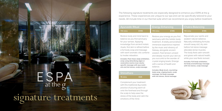$E$  SPA<br>at the g signature treatments The following signature treatments are especially designed to enhance your ESPA at the g experience. These experiences are unique to our spa and can be specifically tailored to your needs. All include time in our thermal suite which we recommend you enjoy before treatment.

| <b>Ayurvedic Ritual</b> |      | <b>Energy Enhancing</b> |      |          | <b>Chakra Balancing</b> |  |
|-------------------------|------|-------------------------|------|----------|-------------------------|--|
| $110 \; \mathrm{mins}$  | 6195 | 110 mins                | £195 | 110 mins | €195                    |  |

Restore body and mind back to balance as you find sanctuary for your senses. Applying knowledge from ancient holistic rituals, first skin is refined before a full body wrap and massage with warm aromatic oils combine to invoke relaxation.

*Includes: Foot ritual, body exfoliation, wrap using detoxifying algae or restorative marine mud, doshaspecific massage with ayurvedic oils and hot stones, scalp massage*

## **Shirodhara**

### **15 mins €25**

Complement your treatment with this traditional Ayurvedic practice of pouring warm oil onto the forehead and through the scalp to help ease the stress of the body and calm the emotions of the mind.

Restore your energy as you find sanctuary with this holistic body treatment. A totally personalised immersive experience inspired by the music and vibrancy of Galway, alongside ancient wisdom. Feel tension unravel and deeply nourish your skin as you succumb to the wonder of crystal singing bowls. Emerge with a sense of health and balance.

*Includes: Body brush, nourishing body wrap, singing bowls, scalp massage, full body massage with hot stones, facial massage*



*Includes: Full body exfoliation, full body aromatherapy massage with hot stones, scalp massage* 

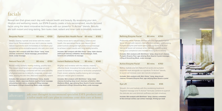# facials

Reveal skin that glows each day with natural health and beauty. By assessing your skin, lifestyle and wellbeing needs, our ESPA Experts create a truly personalized, results-focused facial using the latest innovative techniques with our powerful Tri-Active™ blends. Results are both instant and long-lasting. Skin looks clear, radiant and inner calm is blissfully restored.

### **Bespoke Facial 60 mins €100**

## **Optimal Skin Health Facial 60 mins €105**  Visibly revive skin's natural beauty, balance and

*hand & arm exfoliation & massage*

health, this specialised facial uses nature's most potent actives alongside high performance massage to achieve instant results with long-lasting benefits. *Includes: Skin analysis with Skin Vision™ lamp, triple cleanse (with brush cleanse), exfoliation, facial massage, mask,* 

Deeply cleanse, hydrate and renew with this instant result facial. Personalised to your skin's precise needs, natural ingredients work immediately to transform your complexion while aromatherapeutic oils calm your mind.

*Includes: Skin analysis with Skin Vision™ lamp, triple cleanse, exfoliation, facial massage, personalised mask, scalp massage*

| €150<br>Natural Face Lift<br>80 mins |  |
|--------------------------------------|--|
|--------------------------------------|--|

Reveal visibly resilient, healthy-looking, youthful skin. This instant result facial uses cutting edge pre and probiotic technology combined with the same benefits of physical exercise to detoxify, invigorate, sculpt and relax, leaving the skin firm, lifted and beautifully radiant.

*Includes: Skin analysis with SkinVision™ lamp, double cleanse, steam, Japanese Kobido inspired facial massage, stimulating Jade rollers, sculpting & lifting massage techniques, Lifting & Smoothing Mask, scalp massage*

**Instant Radiance Facial 80 mins €140** 

Brighten and revitalise with this intense, instantly effective facial. Innovative formulas unlock nature's power to transform a fatigued or lacklustre complexion. Fresh, toned, radiantly healthy-looking skin emerges, and your natural glow is restored.

*Includes: Skin analysis with SkinVision™ lamp, triple cleanse (including deep brush cleanse), exfoliation, Skin Radiance Mask, age-defying Rose Quartz Crystal massage, professional Lifting & Smoothing Mask, scalp massage*

ask your therapist to recommend specialist ESPA products and aftercare ask your therapist to recommend specialist ESPA products and<br>a tailor made self care plan to continue your skin care at home

### **Refining Enzyme Facial 80 mins €150**

Profoundly refine, hydrate and firm with this high performance facial. Infused with nature's most effective extracts, a stimulating Pumpkin Enzyme peel works alongside signature Tri-Active™ blends to boost cell renewal while intensely smoothing and lifting your complexion and instantly reviving skin's beauty.

*Includes: Skin analysis with SkinVision™ lamp, deep brush cleanse, Pumpkin Enzyme Peel, age-defying Rose Quartz Crystal massage, Lifting & Smoothing Mask, scalp massage*

### **Active Enzyme Facial 80 mins €150**

Refine, hydrate and firm Natural fruit acids and pumpkin enzymes work alongside our signature Tri-Active™ blends, to boost cell renewal, even skin tone & complexion.

*Includes: Skin analysis with Skin Vision™ lamp, deep brush cleanse, Pumpkin Enzyme Peel, age-defying Rose Quartz crystal* 

**Eye Lift 25 mins €55**

Smooth, firm and hydrate with this revitalising treatment. Targeted massage and Tri-Active™ formulas combine to quench the delicate skin and diminish puffiness and dark shadows.

*Includes: Skin analysis with SkinVision™ lamp, cleanse, exfoliation to face and eye contour, eye contour massage, firming eye mask*

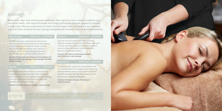# massage

Rediscover inner calm and physical wellbeing. Here, genuine care is taken to address your individual needs, with natural formulas and holistic techniques specially applied to provide a profoundly effective experience for both mind and body. Muscular tensions are released, your soul feels soothed and you emerge energised with renewed focus and lasting positivity.

**Hot Stone 60/80 mins €130/€170**

Quieten your mind, release tension and nourish your skin with this holistic experience. Personalised to your physical and emotional needs, carefully chosen aromatherapy blends relax, cleanse or energise, while advanced massage alleviates tension and a sense of inner calm is restored.

*Includes: Breath work, warming eye & neck pillows, full body aromatherapy massage, scalp massage with Rose Quartz Crystals*

Revive your body and enliven your spirit with this invigorating massage. Working swiftly and deeply where you need it most, traditional Swedish massage with pure, nourishing oils boosts circulation and alleviates tight, aching muscles.

*Includes: Full body Swedish massage, scalp massage*

Restore comfort, suppleness and movement with this intensely effective massage. Active stretching and specialised massage using expertly blended aromatherapy oils alleviate deep-seated tension.

Discover lasting relaxation for mind and body. Tailored massage with hot stones unravels persistent muscular tightness, while pure, aromatic essential oils encompass the mind to relieve stress and

*Includes: Full body aromatherapy massage* 

leave you feeling rejuvenated.

*with hot stones, scalp massage* 

You emerge strong and energised. *Includes: Full body massage, focussing on areas of concern* 

g top tip make sure to enjoy time in our thermal suite before your massage treatment to maximise effects and relaxation

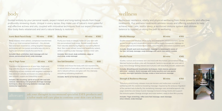# bod

Guided entirely by your personal needs, expect instant and long-lasting results from these profoundly renewing rituals. Unique in every sense, they make use of nature's most powerful and effective actives and oils, coupled with innovative techniques from our expert therapists. Your body feels rebalanced and skin's natural beauty is restored.

### **Iconic Back Face & Scalp 110 mins €195**

**Body Wrap 60 mins €100** 

Body relaxed, mind calmed, complexion transformed. This is our most renowned treatment – the ultimate face and back experience, uniting targeted massage techniques with the purest aromatherapy oils and a highly-personalised results-focused facial.

*Includes: Back exfoliation, back massage with hot stones, personalised facial, scalp massage*

| <b>Hip &amp; Thigh Toner</b> | 60 mins | €110 |
|------------------------------|---------|------|
|------------------------------|---------|------|

Transform the appearance of your hips, thighs and legs with this results-focused treatment. Powerfully detoxifying actives combine with targeted massage to help diminish cellulite and boost circulation, leaving skin smooth, supple and beautifully toned.

*Includes: Skin brushing, salt & oil scrub with iced mitt removal, detoxifying and lymphatic drainage massage techniques, deep cleansing abdomen massage, body moisturiser application*

Mud. Skin looks refined, toned and beautifully radiant, while a soothing scalp massage restores inner calm. *Includes: Skin brush, body exfoliation, algae or* 

Purify your body or deeply replenish your skin with this personalised body wrap. Reveal instant results from naturally detoxifying Algae or nourishing Marine

*mud wrap, scalp massage*

**Sea Salt Smoother 25 mins €60**

Exfoliate and infuse the body with rich nourishment. A natural blend of sea salts and the purist oils revives skin's natural softness and glow with this intensely smoothing exfoliating treatment.

*Includes: Salt & oil full body exfoliation* 

aftercare ask your therapist to recommend specialist ESPA products and a tailor made self care plan to continue your skin care at home

# wellness

Rediscover resilience, vitality and physical wellbeing from these powerful and effective treatments. Our wellness treatments address issues and offering solutions to help achieve inner calm, restful sleep, a reinforced immune system and ultimate balance to support us along the path to wellbeing.

### **Mindful Massage 80 mins €155**

Soothe stress and blissfully return body and mind to the present moment. Gentle guided breathing and visualisation combine with a deeply therapeutic massage to release physical and emotional anxieties, relax the mind and restore a positive spirit.

*Includes: Breath work and visualisation, massage to metamorphic zones of the feet, full body massage, scalp massage with warm rose quartz crystals*

**Mindful Facial 80 mins €145**

Soothe, nurture and revitalise skin and mind with this holistic personalised facial. Warmed herbal poultices unite with therapeutic hands to rejuvenate skin and calm a busy mind. Emerge feeling relaxed and nurtured, with beautifully smooth, radiant skin.

*Includes: Breathing and visualisation techniques, triple cleanse, personal skinvision™ analysis, facial massage with herbal poultice and rose quartz crystals, overnight hydration therapy, scalp or hand and arm massage*

### **Strength & Resilience Massage 6150** 80 mins €150

Transform mind & body, release muscular tension and rediscover a sense of wellbeing with this resilience boosting massage. Inspired by the arduous migration of the painted lady butterfly, this revitalising massage uses aromatherapeutic oils, yogic stretches and deep muscle massage to boost energy levels and support the immune system. Emerge stronger and more resilient, ready to face life's journey.

*Includes: Yogic stretching, reflex zone foot massage, back massage, sinus release, scalp massage*

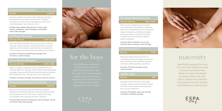### **Deep Cleansing Facial**

**60 mins €100.00**

Cleanse, hydrate and renew with instant results facial. Personalised to your skins exact needs, Tri-Active™ formulas work to purify and reawaken your skin while aromatherapeutic oils calm your mind.

*Includes: Skin analysis with skinvision™ lamp, triple cleanse, exfoliation, facial massage, personalised mask, scalp massage*

### **Hot Stone Massage**

### **60 mins/ 80 mins €130 / €170**

Discover lasting relaxation for mind and body. Tailored massage with hot stones unravels persistent muscular tightness, while aromatic essential oils encompass the mind to relieve stress and leave you feeling rejuvenated.

### *Includes: Full body aromatherapy massage with hot stones, scalp massage*

Restore comfort, suppleness and movement with this intensely effective massage. Active stretching & specialised massage using expertly blended aromatherapy oils alleviate deep-seated tension. Emerge strong and energised.

*Includes: Full body massage, focussing on areas of concern*

# **Deep Cleansing Back Treatment 60 mins €100.00**

Relax and revive body and mind with this targeted powerful yet soothing treatment. Using selected essential oils, persistent tension in the back is eased, skin looks re-energised and a positive mindset is restored.

*Includes: Back cleanse & exfoliation, back massage, marine mud mask, lower leg massage*



# for the boys

Our ESPA face and body specifically tailored to your skin type, each one designed specifically to ensure you experience the best physical and therapeutic benefits depending on your needs.



# **Pre-Natal Relax & Restore 55 mins / 80 mins €120 / €160**

Nurture your changing body and calm your mind with this beautifully comforting treatment. Personalised to your needs and stage of pregnancy, soothing massage techniques help to ease tired muscles, hydrate the skin and evoke a state of blissful relaxation.

*Includes: Back exfoliation (if required), focussed body massage, scalp massage*

# **80 mins €145**

Relax and restore body and mind. A

nourishing full body massage and express facial leaves you feeling totally nurtured, while skin is left beautifully nourished.

*Includes: Full body massage, facial, scalp massage* 

# **Lighter Legs 40 mins €80**

Revitalise and revive tired, aching feet and legs. Soothe swollen ankles and help transform and energise heavy legs with this luxurious treatment.

*Includes: Foot Ritual, lower leg and foot exfoliation, uplifting massage*



# maternity

Specifically designed to relax the mind and restore the body during this precious time. Allow our expert therapists to bring comfort and calm, help to reduce fluid retention and release muscular tension to enhance your natural glow.

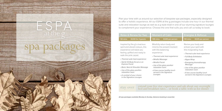# $\mathsf{ESPA}_{\mathsf{atthe}\varrho}$ spa packages



Plan your time with us around our selection of bespoke spa packages, especially designed to offer a holistic experience. All our ESPA at the g packages include one hour in our thermal suite and relaxation lounge as well as a g style treat in one of our stunning signature lounges to complement your experience. Choose the one that suits you and call us today to book.

### **Relax & Renew for Two 50 mins €230 for 2 guests Moment of Calm 135 mins €245 per person**

Inspired by the g's vivacious spirit and vibrant colours, this experience will leave you feeling uplifted and ready to walk the pink carpet.

- *Thermal suite heat experience*
- *Salt & Oil Body Scrub or an Express Facial*
- *Back, Neck & Shoulder Massage*
- *Use of the glass pavilion relaxation room*
- *A cocktail of your choice in the Signature Lounges*

Blissfully return body and mind to the present moment with this balancing experience.

- *Thermal suite heat experience*
- *Mindful Massage*
- *Mindful Facial*
- *Use of the glass pavilion relaxation room*
- *A two course healthy lunch served in the Signature Lounges*

Revive your body and enliven your spirit with this invigorating ritual.

**Energise & Refocus 110 mins €225 per person** 

- *Thermal suite heat experience*
- *Full Body Exfoliation*
- *Algae Wrap*
- *Energising Aromatherapy Massage*
- *Use of the glass pavilion relaxation room*
- *A two course healthy lunch served in the Signature Lounges*

stay over extend your five star experience and ask about our overnight bed and breakfast rates... or book a table with us for dinner

*All spa packages available Monday to Sunday. Advance booking is essential.*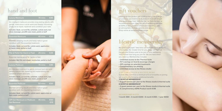# hand and foot

### **Luxury Manicure 70 mins €85**

An indulgent manicure provides long lasting results with gentle, meticulous cuticle work and deeply nourishing products to repair, replenish and condition your nails.

*Includes: Soak, cut and file, exfoliate, cuticle work, hot stone massage, paraffin wax mask, polish or buff*

### **Essential Manicure 40 mins €50**

Maintain amazing results and keep nails in good condition with this essential treatment.

*Includes: Soak, cut and file, cuticle work, application of hand cream, polish or buff*

### **File & Polish for Hand or Feet 25 mins €35**

Essential maintenance for hands or feet

*Includes: Nail file and shape, moisturiser, polish or buff*

**Luxury Pedicure 70 mins €85** 

An intensive treatment to gently remove hard skin and deeply nourish fee, repairing and replenishing the condition of skin and nails.

*Includes: Soak, cut and file, exfoliate, cuticle work, hot stone massage, paraffin wax mask, polish or buff*

**Essential Pedicure 50 mins €50**

Maintain amazing results and keep nails in good condition with this nourishing treatment.

*Includes: Soak, cut and file, cuticle work, application of foot cream, polish or buff*

| <b>OPI Gel Manicure or Pedicure</b> | 45 mins | -€50          |
|-------------------------------------|---------|---------------|
| <b>Gel Removal</b>                  |         | $\epsilon$ 15 |



Looking for the perfect gift? ESPA at the g has a range of luxurious spa treatments & products that will delight your loved ones, from 'Gifts for Her' to 'Gifts for Him' or monetary vouchers. Give the gift of wellbeing and time at ESPA at the g, a haven of rest and relaxation, with an atmosphere of sheer serenity and peace. Shop online at www.theghotel.ie/spa

# lifestyle membership

Be good to yourself. Take time out from the hustle & bustle of everyday life. Create time for you. Allow our thermal therapy and fitness suite to be part of your wellbeing. You choose how long you join for. We are here when you need us. Membership includes

- **Unlimited access to the Thermal Suite**
- **10 % savings on food & beverage charges**
- **20% savings on selected treatments**
- **Complimentary car parking**
- **Unlimited access to the fitness studio**

### JOIN FOR LONGER & RECEIVE MORE

Guests who commit to a minimum of 3 or 6 months on joining will receive the following additional benefits **3 Months Me mbership**

**• 2 guest passes per year to the fitness studio & thermal suite 6 Months Me mbership**

**• 2 guest passes per year to the fitness studio & thermal suite • A complimentary ESPA Product worth €48**

### MEMBERSHIP RATE

**1 month €80 • 3 month €200 • 6 month €350 • 1 year €650**